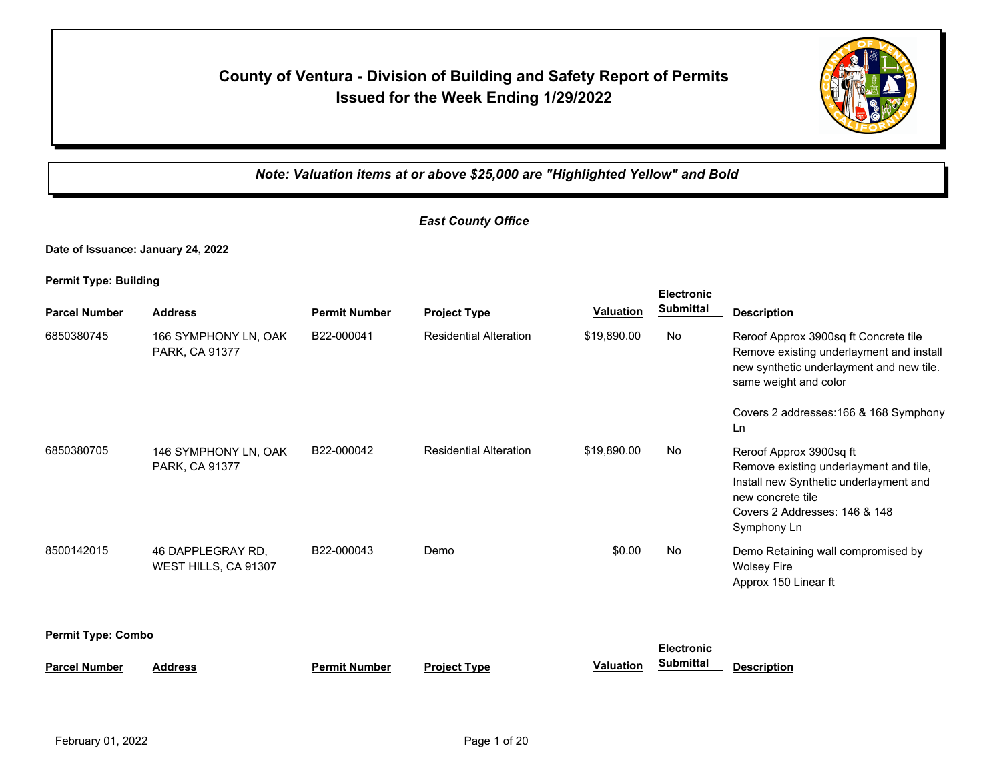# **County of Ventura - Division of Building and Safety Report of Permits Issued for the Week Ending 1/29/2022**



*Note: Valuation items at or above \$25,000 are "Highlighted Yellow" and Bold*

**Electronic** 

## *East County Office*

**Date of Issuance: January 24, 2022**

| <b>Parcel Number</b>                           | <b>Address</b>                            | <b>Permit Number</b> | <b>Project Type</b>           | <b>Valuation</b> | <b>EIGCITONIC</b><br><b>Submittal</b> | <b>Description</b>                                                                                                                                                                                     |
|------------------------------------------------|-------------------------------------------|----------------------|-------------------------------|------------------|---------------------------------------|--------------------------------------------------------------------------------------------------------------------------------------------------------------------------------------------------------|
| 6850380745                                     | 166 SYMPHONY LN, OAK<br>PARK, CA 91377    | B22-000041           | <b>Residential Alteration</b> | \$19,890.00      | No                                    | Reroof Approx 3900sq ft Concrete tile<br>Remove existing underlayment and install<br>new synthetic underlayment and new tile.<br>same weight and color<br>Covers 2 addresses: 166 & 168 Symphony<br>Ln |
| 6850380705                                     | 146 SYMPHONY LN, OAK<br>PARK, CA 91377    | B22-000042           | <b>Residential Alteration</b> | \$19,890.00      | No                                    | Reroof Approx 3900sq ft<br>Remove existing underlayment and tile,<br>Install new Synthetic underlayment and<br>new concrete tile<br>Covers 2 Addresses: 146 & 148<br>Symphony Ln                       |
| 8500142015                                     | 46 DAPPLEGRAY RD,<br>WEST HILLS, CA 91307 | B22-000043           | Demo                          | \$0.00           | No                                    | Demo Retaining wall compromised by<br><b>Wolsey Fire</b><br>Approx 150 Linear ft                                                                                                                       |
| <b>Permit Type: Combo</b><br><b>Electronic</b> |                                           |                      |                               |                  |                                       |                                                                                                                                                                                                        |
| <b>Parcel Number</b>                           | <b>Address</b>                            | <b>Permit Number</b> | <b>Project Type</b>           | <b>Valuation</b> | <b>Submittal</b>                      | <b>Description</b>                                                                                                                                                                                     |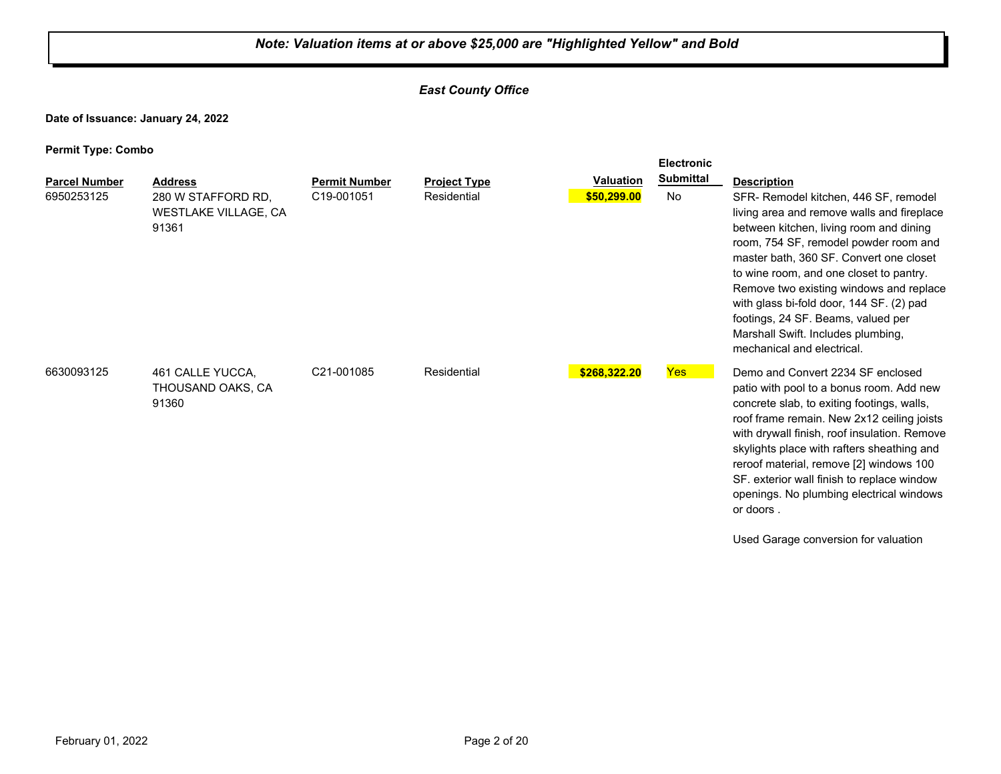#### *East County Office*

**Date of Issuance: January 24, 2022**

|                                    |                                                                       |                                    |                                    |                                 | <b>Electronic</b>      |                                                                                                                                                                                                                                                                                                                                                                                                                                                                                      |
|------------------------------------|-----------------------------------------------------------------------|------------------------------------|------------------------------------|---------------------------------|------------------------|--------------------------------------------------------------------------------------------------------------------------------------------------------------------------------------------------------------------------------------------------------------------------------------------------------------------------------------------------------------------------------------------------------------------------------------------------------------------------------------|
| <b>Parcel Number</b><br>6950253125 | <b>Address</b><br>280 W STAFFORD RD.<br>WESTLAKE VILLAGE, CA<br>91361 | <b>Permit Number</b><br>C19-001051 | <b>Project Type</b><br>Residential | <b>Valuation</b><br>\$50,299.00 | <b>Submittal</b><br>No | <b>Description</b><br>SFR- Remodel kitchen, 446 SF, remodel<br>living area and remove walls and fireplace<br>between kitchen, living room and dining<br>room, 754 SF, remodel powder room and<br>master bath, 360 SF. Convert one closet<br>to wine room, and one closet to pantry.<br>Remove two existing windows and replace<br>with glass bi-fold door, 144 SF. (2) pad<br>footings, 24 SF. Beams, valued per<br>Marshall Swift. Includes plumbing,<br>mechanical and electrical. |
| 6630093125                         | 461 CALLE YUCCA.<br>THOUSAND OAKS, CA<br>91360                        | C21-001085                         | Residential                        | \$268,322.20                    | Yes                    | Demo and Convert 2234 SF enclosed<br>patio with pool to a bonus room. Add new<br>concrete slab, to exiting footings, walls,<br>roof frame remain. New 2x12 ceiling joists<br>with drywall finish, roof insulation. Remove<br>skylights place with rafters sheathing and<br>reroof material, remove [2] windows 100<br>SF. exterior wall finish to replace window<br>openings. No plumbing electrical windows<br>or doors.<br>Used Garage conversion for valuation                    |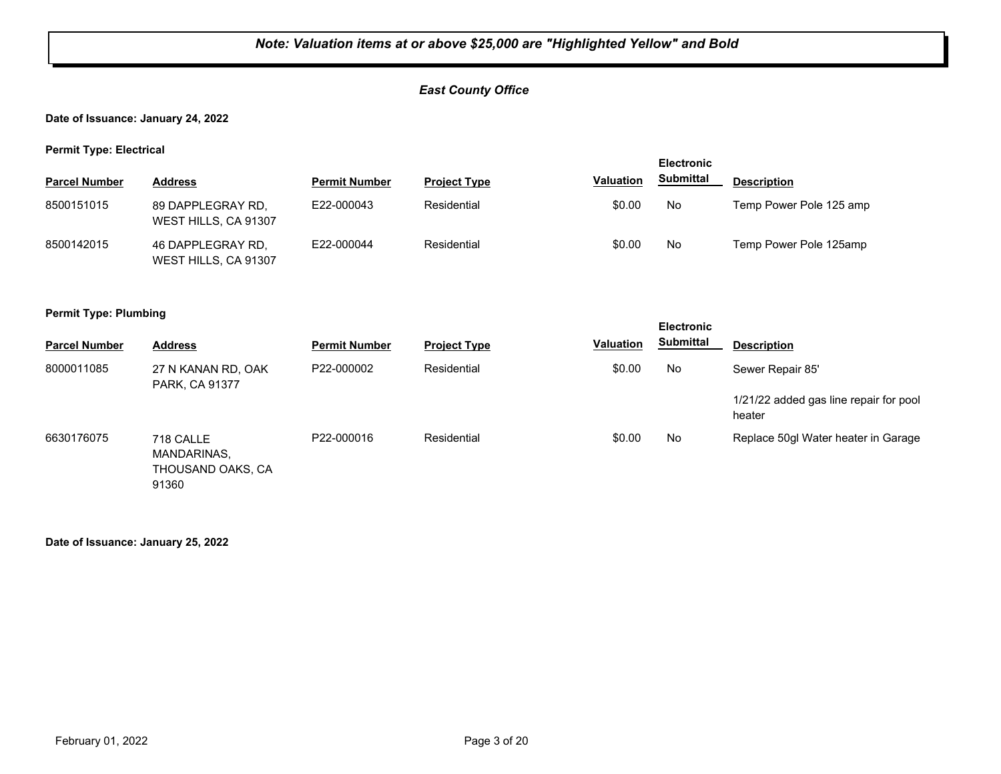#### *East County Office*

**Date of Issuance: January 24, 2022**

**Permit Type: Electrical**

|                      |                                           |                      |                     |                  | <b>Electronic</b> |                         |
|----------------------|-------------------------------------------|----------------------|---------------------|------------------|-------------------|-------------------------|
| <b>Parcel Number</b> | <b>Address</b>                            | <b>Permit Number</b> | <b>Project Type</b> | <b>Valuation</b> | <b>Submittal</b>  | <b>Description</b>      |
| 8500151015           | 89 DAPPLEGRAY RD.<br>WEST HILLS, CA 91307 | E22-000043           | Residential         | \$0.00           | No                | Temp Power Pole 125 amp |
| 8500142015           | 46 DAPPLEGRAY RD.<br>WEST HILLS, CA 91307 | E22-000044           | Residential         | \$0.00           | No                | Temp Power Pole 125amp  |

#### **Permit Type: Plumbing**

| . .                  |                                               |                      |                     |                  | <b>Electronic</b> |                                                  |
|----------------------|-----------------------------------------------|----------------------|---------------------|------------------|-------------------|--------------------------------------------------|
| <b>Parcel Number</b> | <b>Address</b>                                | <b>Permit Number</b> | <b>Project Type</b> | <b>Valuation</b> | <b>Submittal</b>  | <b>Description</b>                               |
| 8000011085           | 27 N KANAN RD, OAK<br>PARK, CA 91377          | P22-000002           | Residential         | \$0.00           | No                | Sewer Repair 85'                                 |
|                      |                                               |                      |                     |                  |                   | 1/21/22 added gas line repair for pool<br>heater |
| 6630176075           | 718 CALLE<br>MANDARINAS,<br>THOUSAND OAKS, CA | P22-000016           | Residential         | \$0.00           | No                | Replace 50gl Water heater in Garage              |

91360

**Date of Issuance: January 25, 2022**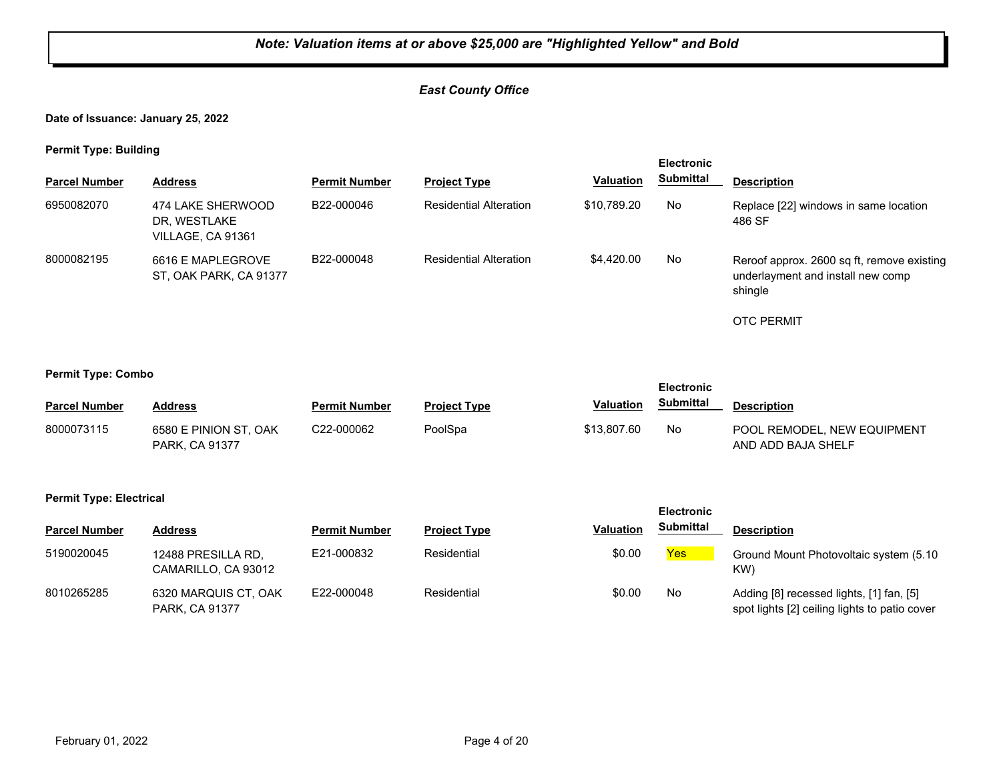## *East County Office*

**Date of Issuance: January 25, 2022**

**Permit Type: Building**

| <b>Electronic</b>    |                                                        |                      |                               |                  |                  |                                                                                            |
|----------------------|--------------------------------------------------------|----------------------|-------------------------------|------------------|------------------|--------------------------------------------------------------------------------------------|
| <b>Parcel Number</b> | <b>Address</b>                                         | <b>Permit Number</b> | <b>Project Type</b>           | <b>Valuation</b> | <b>Submittal</b> | <b>Description</b>                                                                         |
| 6950082070           | 474 LAKE SHERWOOD<br>DR, WESTLAKE<br>VILLAGE, CA 91361 | B22-000046           | <b>Residential Alteration</b> | \$10.789.20      | No               | Replace [22] windows in same location<br>486 SF                                            |
| 8000082195           | 6616 E MAPLEGROVE<br>ST, OAK PARK, CA 91377            | B22-000048           | <b>Residential Alteration</b> | \$4,420.00       | No               | Reroof approx. 2600 sq ft, remove existing<br>underlayment and install new comp<br>shingle |
|                      |                                                        |                      |                               |                  |                  | <b>OTC PERMIT</b>                                                                          |

**Permit Type: Combo**

| ----                 |                                                |                      |                     |             | <b>Electronic</b> |                                                   |
|----------------------|------------------------------------------------|----------------------|---------------------|-------------|-------------------|---------------------------------------------------|
| <b>Parcel Number</b> | Address                                        | <b>Permit Number</b> | <b>Project Type</b> | Valuation   | <b>Submittal</b>  | <b>Description</b>                                |
| 8000073115           | 6580 E PINION ST, OAK<br><b>PARK, CA 91377</b> | C22-000062           | PoolSpa             | \$13,807.60 | No                | POOL REMODEL. NEW EQUIPMENT<br>AND ADD BAJA SHELF |

#### **Permit Type: Electrical**

|                      |                                           |                      |                     |                  | <b>Electronic</b> |                                                                                           |
|----------------------|-------------------------------------------|----------------------|---------------------|------------------|-------------------|-------------------------------------------------------------------------------------------|
| <b>Parcel Number</b> | <b>Address</b>                            | <b>Permit Number</b> | <b>Project Type</b> | <b>Valuation</b> | <b>Submittal</b>  | <b>Description</b>                                                                        |
| 5190020045           | 12488 PRESILLA RD.<br>CAMARILLO, CA 93012 | E21-000832           | Residential         | \$0.00           | Yes               | Ground Mount Photovoltaic system (5.10<br>KW)                                             |
| 8010265285           | 6320 MARQUIS CT, OAK<br>PARK, CA 91377    | E22-000048           | Residential         | \$0.00           | No                | Adding [8] recessed lights, [1] fan, [5]<br>spot lights [2] ceiling lights to patio cover |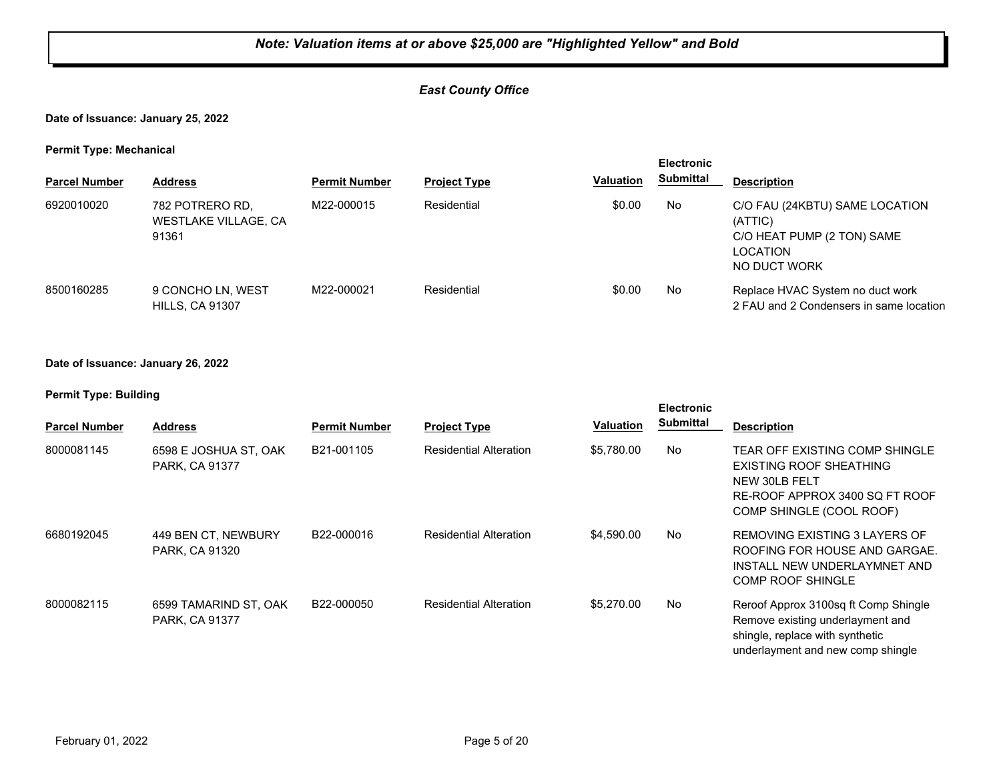#### *East County Office*

#### **Date of Issuance: January 25, 2022**

#### **Permit Type: Mechanical**

| . .                  |                                                         |                      |                     |                  | <b>Electronic</b> |                                                                                                     |
|----------------------|---------------------------------------------------------|----------------------|---------------------|------------------|-------------------|-----------------------------------------------------------------------------------------------------|
| <b>Parcel Number</b> | <b>Address</b>                                          | <b>Permit Number</b> | <b>Project Type</b> | <b>Valuation</b> | <b>Submittal</b>  | <b>Description</b>                                                                                  |
| 6920010020           | 782 POTRERO RD.<br><b>WESTLAKE VILLAGE, CA</b><br>91361 | M22-000015           | Residential         | \$0.00           | No                | C/O FAU (24KBTU) SAME LOCATION<br>(ATTIC)<br>C/O HEAT PUMP (2 TON) SAME<br>LOCATION<br>NO DUCT WORK |
| 8500160285           | 9 CONCHO LN, WEST<br><b>HILLS, CA 91307</b>             | M22-000021           | Residential         | \$0.00           | No                | Replace HVAC System no duct work<br>2 FAU and 2 Condensers in same location                         |

#### **Date of Issuance: January 26, 2022**

| <b>Parcel Number</b> | <b>Address</b>                          | <b>Permit Number</b> | <b>Project Type</b>           | <b>Valuation</b> | <b>Electronic</b><br><b>Submittal</b> | <b>Description</b>                                                                                                                               |
|----------------------|-----------------------------------------|----------------------|-------------------------------|------------------|---------------------------------------|--------------------------------------------------------------------------------------------------------------------------------------------------|
|                      |                                         |                      |                               |                  |                                       |                                                                                                                                                  |
| 8000081145           | 6598 E JOSHUA ST, OAK<br>PARK, CA 91377 | B21-001105           | <b>Residential Alteration</b> | \$5,780.00       | No                                    | TEAR OFF EXISTING COMP SHINGLE<br>EXISTING ROOF SHEATHING<br>NEW 30LB FELT<br>RE-ROOF APPROX 3400 SQ FT ROOF<br>COMP SHINGLE (COOL ROOF)         |
| 6680192045           | 449 BEN CT, NEWBURY<br>PARK, CA 91320   | B22-000016           | <b>Residential Alteration</b> | \$4,590.00       | No                                    | REMOVING EXISTING 3 LAYERS OF<br>ROOFING FOR HOUSE AND GARGAE.<br>INSTALL NEW UNDERLAYMNET AND<br>COMP ROOF SHINGLE                              |
| 8000082115           | 6599 TAMARIND ST, OAK<br>PARK, CA 91377 | B22-000050           | <b>Residential Alteration</b> | \$5,270,00       | No.                                   | Reroof Approx 3100sq ft Comp Shingle<br>Remove existing underlayment and<br>shingle, replace with synthetic<br>underlayment and new comp shingle |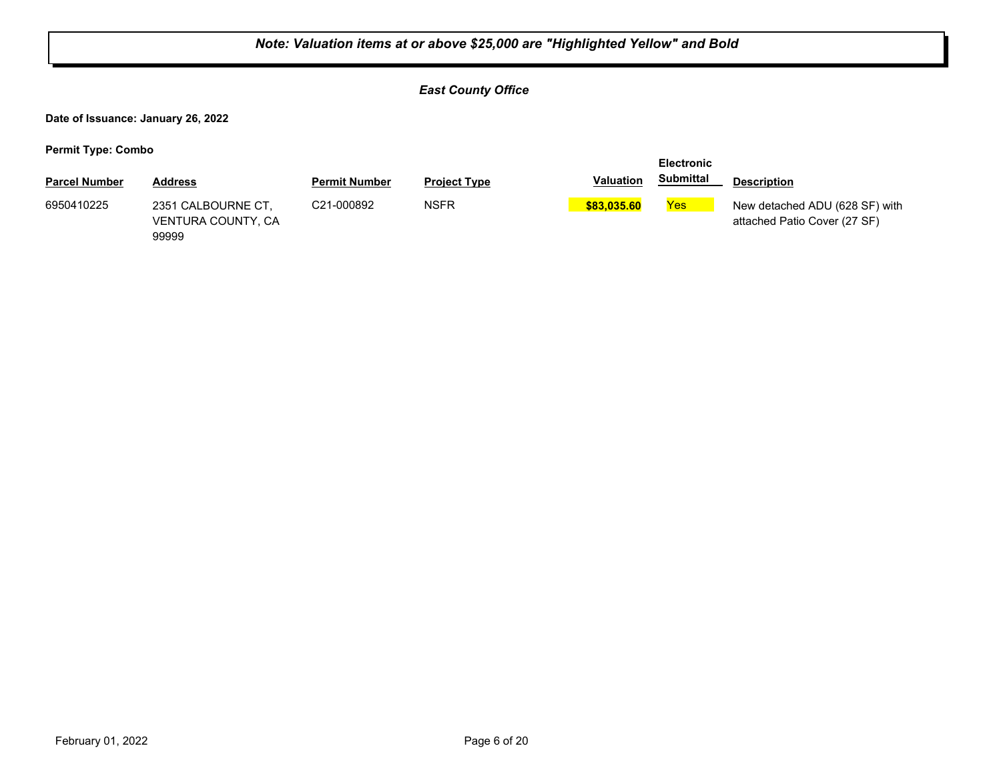|                                    | Note: Valuation items at or above \$25,000 are "Highlighted Yellow" and Bold |                      |                     |                  |                   |                                                                |  |  |  |  |
|------------------------------------|------------------------------------------------------------------------------|----------------------|---------------------|------------------|-------------------|----------------------------------------------------------------|--|--|--|--|
|                                    | <b>East County Office</b>                                                    |                      |                     |                  |                   |                                                                |  |  |  |  |
| Date of Issuance: January 26, 2022 |                                                                              |                      |                     |                  |                   |                                                                |  |  |  |  |
| <b>Permit Type: Combo</b>          |                                                                              |                      |                     |                  | <b>Electronic</b> |                                                                |  |  |  |  |
| <b>Parcel Number</b>               | <b>Address</b>                                                               | <b>Permit Number</b> | <b>Project Type</b> | <b>Valuation</b> | <b>Submittal</b>  | <b>Description</b>                                             |  |  |  |  |
| 6950410225                         | 2351 CALBOURNE CT.<br>VENTURA COUNTY, CA<br>99999                            | C21-000892           | <b>NSFR</b>         | \$83,035,60      | Yes               | New detached ADU (628 SF) with<br>attached Patio Cover (27 SF) |  |  |  |  |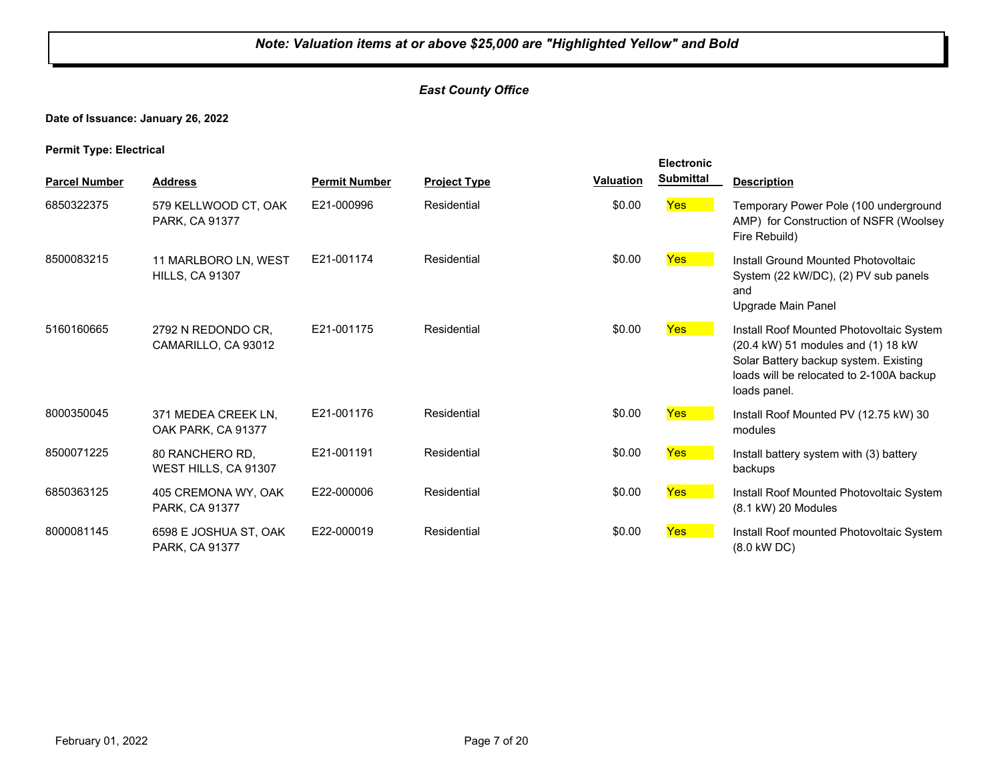#### *East County Office*

#### **Date of Issuance: January 26, 2022**

#### **Permit Type: Electrical**

|                      |                                                |                      |                     |                  | <b>Electronic</b> |                                                                                                                                                                                     |
|----------------------|------------------------------------------------|----------------------|---------------------|------------------|-------------------|-------------------------------------------------------------------------------------------------------------------------------------------------------------------------------------|
| <b>Parcel Number</b> | <b>Address</b>                                 | <b>Permit Number</b> | <b>Project Type</b> | <b>Valuation</b> | <b>Submittal</b>  | <b>Description</b>                                                                                                                                                                  |
| 6850322375           | 579 KELLWOOD CT, OAK<br>PARK, CA 91377         | E21-000996           | Residential         | \$0.00           | Yes               | Temporary Power Pole (100 underground<br>AMP) for Construction of NSFR (Woolsey<br>Fire Rebuild)                                                                                    |
| 8500083215           | 11 MARLBORO LN, WEST<br><b>HILLS, CA 91307</b> | E21-001174           | Residential         | \$0.00           | <b>Yes</b>        | Install Ground Mounted Photovoltaic<br>System (22 kW/DC), (2) PV sub panels<br>and<br>Upgrade Main Panel                                                                            |
| 5160160665           | 2792 N REDONDO CR.<br>CAMARILLO, CA 93012      | E21-001175           | Residential         | \$0.00           | Yes               | Install Roof Mounted Photovoltaic System<br>(20.4 kW) 51 modules and (1) 18 kW<br>Solar Battery backup system. Existing<br>loads will be relocated to 2-100A backup<br>loads panel. |
| 8000350045           | 371 MEDEA CREEK LN,<br>OAK PARK, CA 91377      | E21-001176           | Residential         | \$0.00           | <b>Yes</b>        | Install Roof Mounted PV (12.75 kW) 30<br>modules                                                                                                                                    |
| 8500071225           | 80 RANCHERO RD,<br>WEST HILLS, CA 91307        | E21-001191           | Residential         | \$0.00           | Yes               | Install battery system with (3) battery<br>backups                                                                                                                                  |
| 6850363125           | 405 CREMONA WY, OAK<br>PARK, CA 91377          | E22-000006           | Residential         | \$0.00           | <b>Yes</b>        | Install Roof Mounted Photovoltaic System<br>$(8.1 \text{ kW})$ 20 Modules                                                                                                           |
| 8000081145           | 6598 E JOSHUA ST, OAK<br>PARK, CA 91377        | E22-000019           | Residential         | \$0.00           | Yes               | Install Roof mounted Photovoltaic System<br>(8.0 kW DC)                                                                                                                             |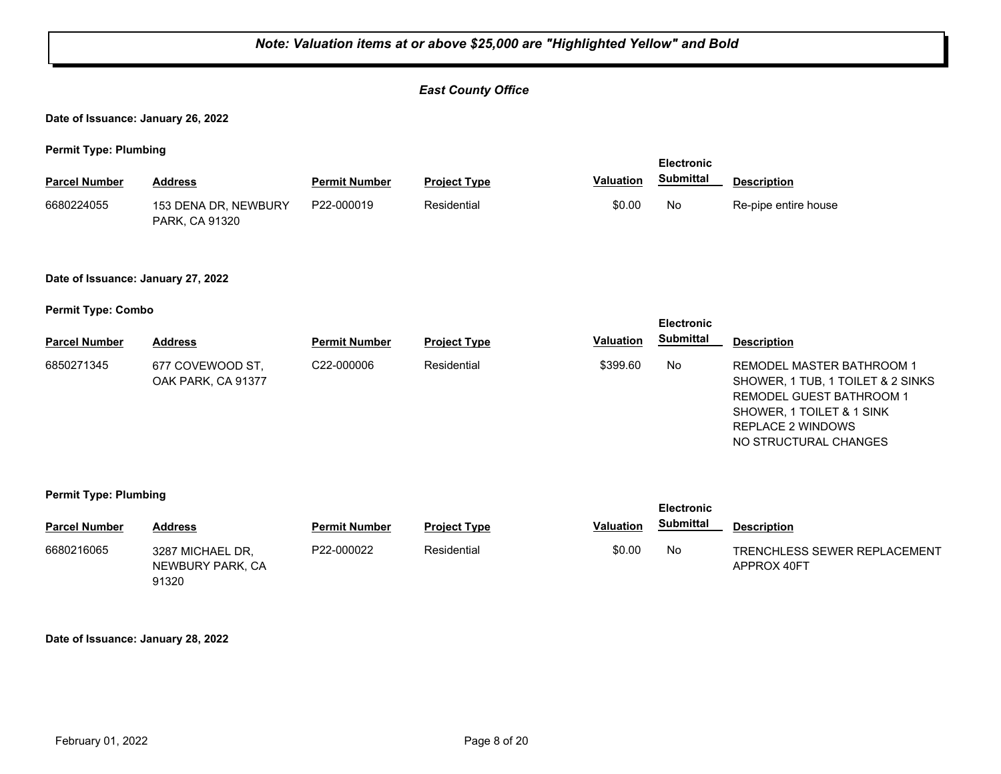#### *East County Office*

**Date of Issuance: January 26, 2022**

**Permit Type: Plumbing**

| <b>Parcel Number</b> | Address                                       | <b>Permit Number</b> | <b>Project Type</b> | <b>Valuation</b> | Submittal | <b>Description</b>   |
|----------------------|-----------------------------------------------|----------------------|---------------------|------------------|-----------|----------------------|
| 6680224055           | 153 DENA DR, NEWBURY<br><b>PARK, CA 91320</b> | P22-000019           | Residential         | \$0.00           | No        | Re-pipe entire house |

#### **Date of Issuance: January 27, 2022**

**Permit Type: Combo**

|                      |                                        |                         | <b>Electronic</b>   |                  |                  |                                                                                                                                                                              |
|----------------------|----------------------------------------|-------------------------|---------------------|------------------|------------------|------------------------------------------------------------------------------------------------------------------------------------------------------------------------------|
| <b>Parcel Number</b> | <b>Address</b>                         | <b>Permit Number</b>    | <b>Project Type</b> | <b>Valuation</b> | <b>Submittal</b> | <b>Description</b>                                                                                                                                                           |
| 6850271345           | 677 COVEWOOD ST.<br>OAK PARK, CA 91377 | C <sub>22</sub> -000006 | Residential         | \$399.60         | No               | REMODEL MASTER BATHROOM 1<br>SHOWER, 1 TUB, 1 TOILET & 2 SINKS<br><b>REMODEL GUEST BATHROOM 1</b><br>SHOWER, 1 TOILET & 1 SINK<br>REPLACE 2 WINDOWS<br>NO STRUCTURAL CHANGES |

#### **Permit Type: Plumbing**

| - -                  |                                               |                      |                     |                  | <b>Electronic</b> |                                             |
|----------------------|-----------------------------------------------|----------------------|---------------------|------------------|-------------------|---------------------------------------------|
| <b>Parcel Number</b> | Address                                       | <b>Permit Number</b> | <b>Project Type</b> | <b>Valuation</b> | <b>Submittal</b>  | <b>Description</b>                          |
| 6680216065           | 3287 MICHAEL DR.<br>NEWBURY PARK, CA<br>91320 | P22-000022           | Residential         | \$0.00           | No                | TRENCHLESS SEWER REPLACEMENT<br>APPROX 40FT |

**Date of Issuance: January 28, 2022**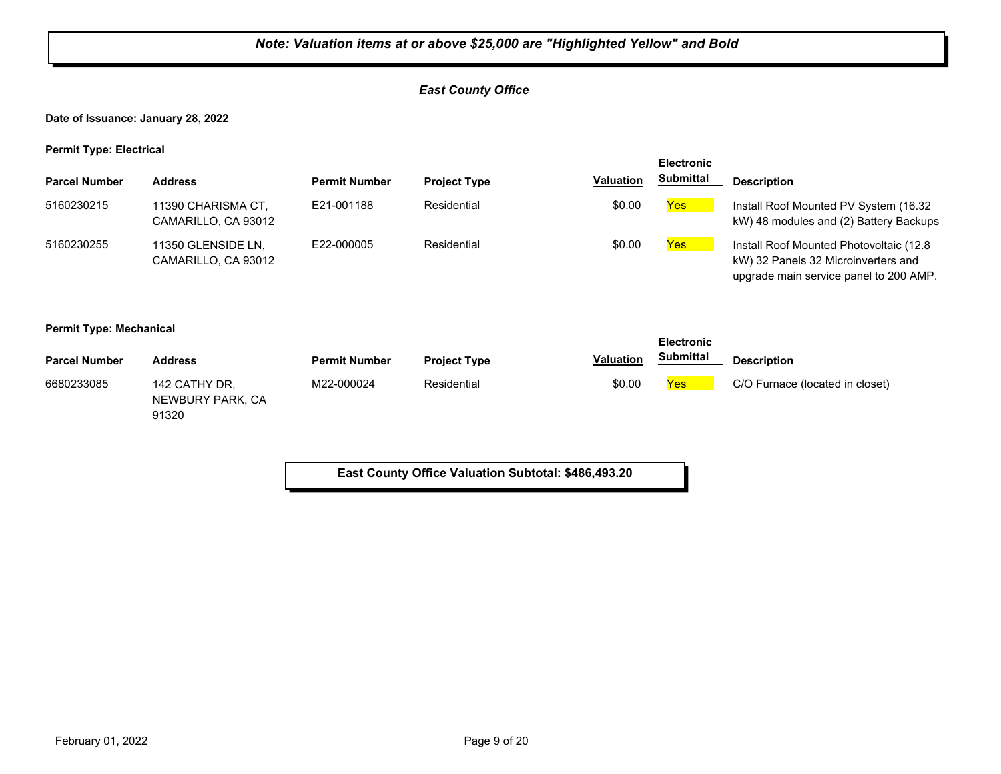#### *East County Office*

**Date of Issuance: January 28, 2022**

**Permit Type: Electrical**

|                      |                                           |                      |                     |                  | <b>Electronic</b> |                                                                                                                           |
|----------------------|-------------------------------------------|----------------------|---------------------|------------------|-------------------|---------------------------------------------------------------------------------------------------------------------------|
| <b>Parcel Number</b> | <b>Address</b>                            | <b>Permit Number</b> | <b>Project Type</b> | <b>Valuation</b> | <b>Submittal</b>  | <b>Description</b>                                                                                                        |
| 5160230215           | 11390 CHARISMA CT.<br>CAMARILLO, CA 93012 | E21-001188           | Residential         | \$0.00           | <b>Yes</b>        | Install Roof Mounted PV System (16.32)<br>kW) 48 modules and (2) Battery Backups                                          |
| 5160230255           | 11350 GLENSIDE LN.<br>CAMARILLO, CA 93012 | E22-000005           | Residential         | \$0.00           | <b>Yes</b>        | Install Roof Mounted Photovoltaic (12.8)<br>kW) 32 Panels 32 Microinverters and<br>upgrade main service panel to 200 AMP. |

#### **Permit Type: Mechanical**

|                      |                                            |                      |                     |                  | <b>Electronic</b> |                                 |
|----------------------|--------------------------------------------|----------------------|---------------------|------------------|-------------------|---------------------------------|
| <b>Parcel Number</b> | <b>Address</b>                             | <b>Permit Number</b> | <b>Project Type</b> | <b>Valuation</b> | <b>Submittal</b>  | <b>Description</b>              |
| 6680233085           | 142 CATHY DR.<br>NEWBURY PARK, CA<br>91320 | M22-000024           | Residential         | \$0.00           | <b>Yes</b>        | C/O Furnace (located in closet) |

**East County Office Valuation Subtotal: \$486,493.20**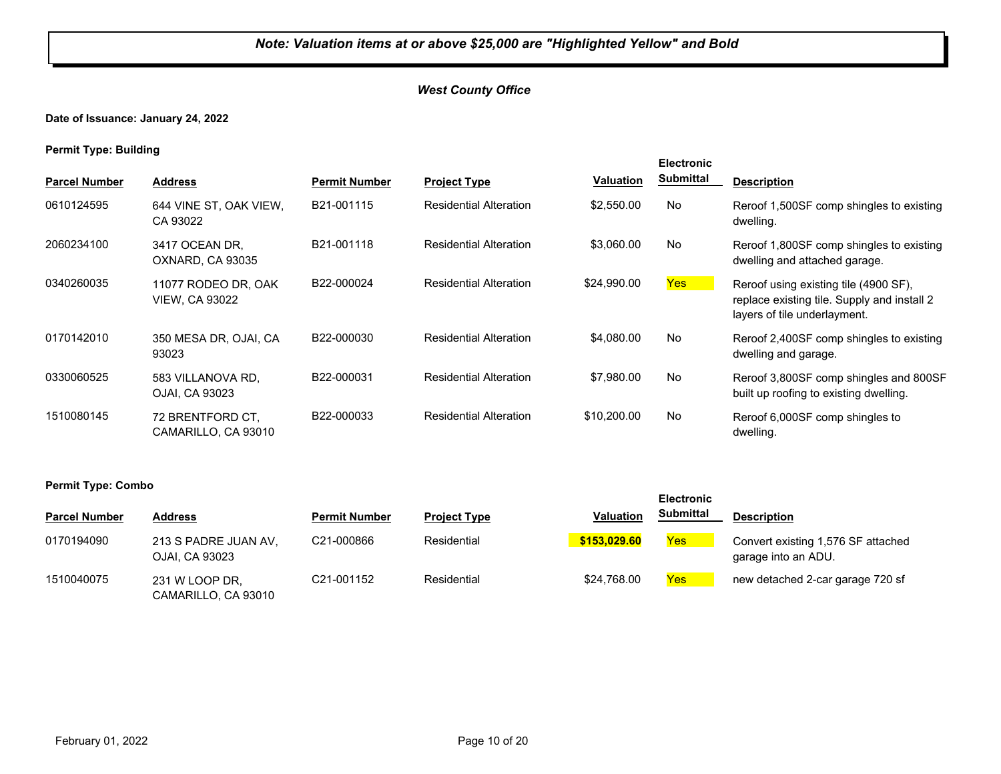#### *West County Office*

#### **Date of Issuance: January 24, 2022**

| . .                  |                                              |                      |                               |                  | <b>Electronic</b> |                                                                                                                      |
|----------------------|----------------------------------------------|----------------------|-------------------------------|------------------|-------------------|----------------------------------------------------------------------------------------------------------------------|
| <b>Parcel Number</b> | <b>Address</b>                               | <b>Permit Number</b> | <b>Project Type</b>           | <b>Valuation</b> | <b>Submittal</b>  | <b>Description</b>                                                                                                   |
| 0610124595           | 644 VINE ST. OAK VIEW.<br>CA 93022           | B21-001115           | <b>Residential Alteration</b> | \$2,550.00       | No                | Reroof 1,500SF comp shingles to existing<br>dwelling.                                                                |
| 2060234100           | 3417 OCEAN DR.<br>OXNARD, CA 93035           | B21-001118           | <b>Residential Alteration</b> | \$3,060.00       | No                | Reroof 1,800SF comp shingles to existing<br>dwelling and attached garage.                                            |
| 0340260035           | 11077 RODEO DR. OAK<br><b>VIEW, CA 93022</b> | B22-000024           | <b>Residential Alteration</b> | \$24,990.00      | Yes <sup>1</sup>  | Reroof using existing tile (4900 SF),<br>replace existing tile. Supply and install 2<br>layers of tile underlayment. |
| 0170142010           | 350 MESA DR, OJAI, CA<br>93023               | B22-000030           | <b>Residential Alteration</b> | \$4,080,00       | No                | Reroof 2,400SF comp shingles to existing<br>dwelling and garage.                                                     |
| 0330060525           | 583 VILLANOVA RD.<br>OJAI, CA 93023          | B22-000031           | <b>Residential Alteration</b> | \$7.980.00       | No                | Reroof 3,800SF comp shingles and 800SF<br>built up roofing to existing dwelling.                                     |
| 1510080145           | 72 BRENTFORD CT.<br>CAMARILLO, CA 93010      | B22-000033           | <b>Residential Alteration</b> | \$10,200.00      | No                | Reroof 6,000SF comp shingles to<br>dwelling.                                                                         |

| <b>Permit Type: Combo</b> |                                        |                      |                     |                  |                                       |                                                           |
|---------------------------|----------------------------------------|----------------------|---------------------|------------------|---------------------------------------|-----------------------------------------------------------|
| <b>Parcel Number</b>      | <b>Address</b>                         | <b>Permit Number</b> | <b>Project Type</b> | <b>Valuation</b> | <b>Electronic</b><br><b>Submittal</b> | <b>Description</b>                                        |
| 0170194090                | 213 S PADRE JUAN AV,<br>OJAI, CA 93023 | C21-000866           | Residential         | \$153,029,60     | Yes                                   | Convert existing 1,576 SF attached<br>garage into an ADU. |
| 1510040075                | 231 W LOOP DR,<br>CAMARILLO, CA 93010  | C21-001152           | Residential         | \$24.768.00      | Yes                                   | new detached 2-car garage 720 sf                          |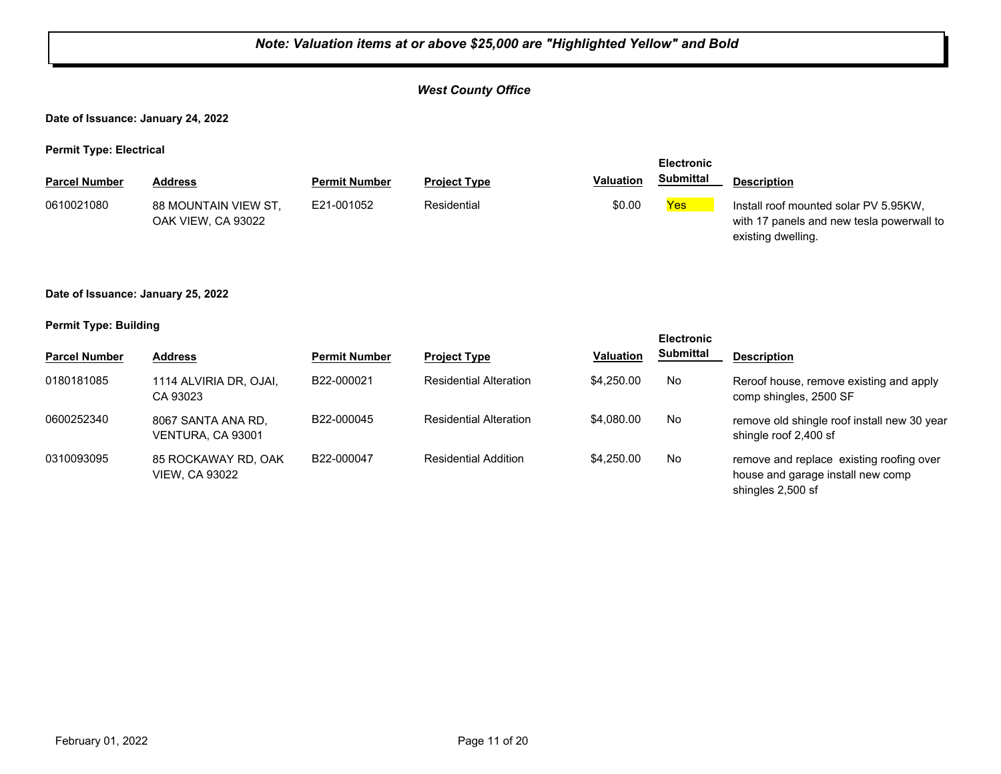#### *West County Office*

**Date of Issuance: January 24, 2022**

**Permit Type: Electrical**

| - -                  |                                            |                      |                     |                  | <b>Electronic</b> |                                                                                                          |
|----------------------|--------------------------------------------|----------------------|---------------------|------------------|-------------------|----------------------------------------------------------------------------------------------------------|
| <b>Parcel Number</b> | <b>Address</b>                             | <b>Permit Number</b> | <b>Project Type</b> | <b>Valuation</b> | Submittal         | <b>Description</b>                                                                                       |
| 0610021080           | 88 MOUNTAIN VIEW ST.<br>OAK VIEW. CA 93022 | E21-001052           | Residential         | \$0.00           | <b>Yes</b>        | Install roof mounted solar PV 5.95KW.<br>with 17 panels and new tesla powerwall to<br>existing dwelling. |

#### **Date of Issuance: January 25, 2022**

| - -                  |                                              |                      |                               |                  | <b>Electronic</b> |                                                                                                    |
|----------------------|----------------------------------------------|----------------------|-------------------------------|------------------|-------------------|----------------------------------------------------------------------------------------------------|
| <b>Parcel Number</b> | <b>Address</b>                               | <b>Permit Number</b> | <b>Project Type</b>           | <b>Valuation</b> | Submittal         | <b>Description</b>                                                                                 |
| 0180181085           | 1114 ALVIRIA DR, OJAI,<br>CA 93023           | B22-000021           | <b>Residential Alteration</b> | \$4,250,00       | No                | Reroof house, remove existing and apply<br>comp shingles, 2500 SF                                  |
| 0600252340           | 8067 SANTA ANA RD.<br>VENTURA, CA 93001      | B22-000045           | <b>Residential Alteration</b> | \$4,080,00       | No                | remove old shingle roof install new 30 year<br>shingle roof 2,400 sf                               |
| 0310093095           | 85 ROCKAWAY RD, OAK<br><b>VIEW, CA 93022</b> | B22-000047           | <b>Residential Addition</b>   | \$4,250,00       | No                | remove and replace existing roofing over<br>house and garage install new comp<br>shingles 2,500 sf |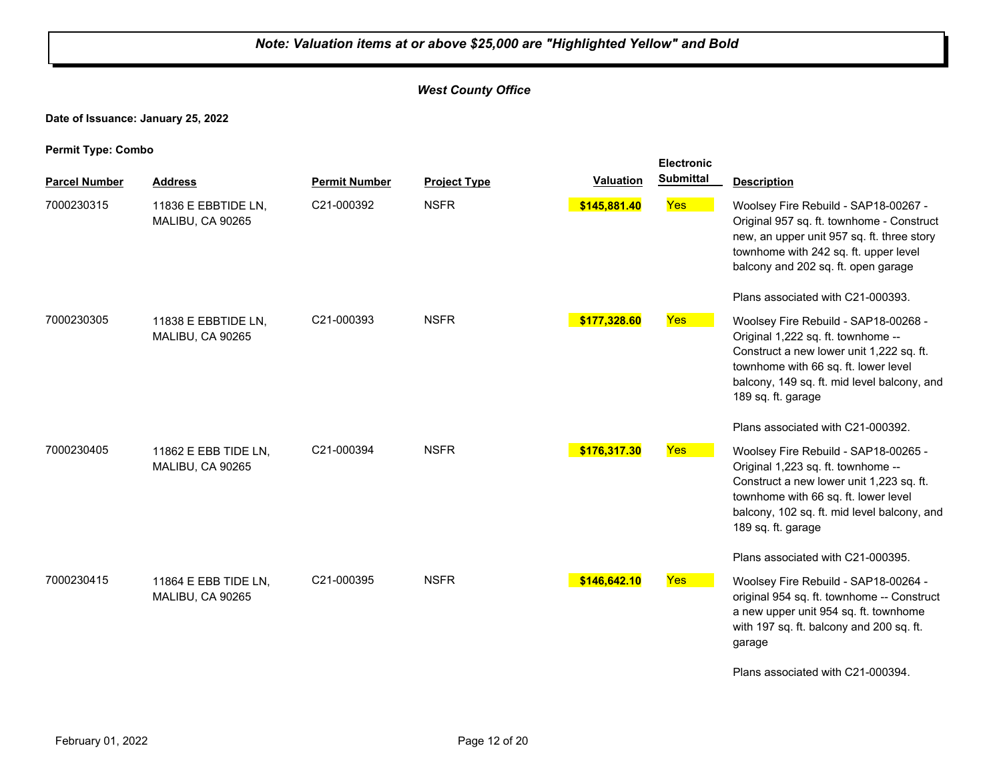#### *West County Office*

**Date of Issuance: January 25, 2022**

| <b>Parcel Number</b> | <b>Address</b>                           | <b>Permit Number</b> | <b>Project Type</b> | <b>Valuation</b> | <b>Submittal</b> | <b>Description</b>                                                                                                                                                                                                                  |
|----------------------|------------------------------------------|----------------------|---------------------|------------------|------------------|-------------------------------------------------------------------------------------------------------------------------------------------------------------------------------------------------------------------------------------|
| 7000230315           | 11836 E EBBTIDE LN,<br>MALIBU, CA 90265  | C21-000392           | <b>NSFR</b>         | \$145,881.40     | <b>Yes</b>       | Woolsey Fire Rebuild - SAP18-00267 -<br>Original 957 sq. ft. townhome - Construct<br>new, an upper unit 957 sq. ft. three story<br>townhome with 242 sq. ft. upper level<br>balcony and 202 sq. ft. open garage                     |
|                      |                                          |                      |                     |                  |                  | Plans associated with C21-000393.                                                                                                                                                                                                   |
| 7000230305           | 11838 E EBBTIDE LN.<br>MALIBU, CA 90265  | C21-000393           | <b>NSFR</b>         | \$177,328.60     | <b>Yes</b>       | Woolsey Fire Rebuild - SAP18-00268 -<br>Original 1,222 sq. ft. townhome --<br>Construct a new lower unit 1,222 sq. ft.<br>townhome with 66 sq. ft. lower level<br>balcony, 149 sq. ft. mid level balcony, and<br>189 sq. ft. garage |
|                      |                                          |                      |                     |                  |                  | Plans associated with C21-000392.                                                                                                                                                                                                   |
| 7000230405           | 11862 E EBB TIDE LN,<br>MALIBU, CA 90265 | C21-000394           | <b>NSFR</b>         | \$176,317.30     | Yes              | Woolsey Fire Rebuild - SAP18-00265 -<br>Original 1,223 sq. ft. townhome --<br>Construct a new lower unit 1,223 sq. ft.<br>townhome with 66 sq. ft. lower level<br>balcony, 102 sq. ft. mid level balcony, and<br>189 sq. ft. garage |
|                      |                                          |                      |                     |                  |                  | Plans associated with C21-000395.                                                                                                                                                                                                   |
| 7000230415           | 11864 E EBB TIDE LN.<br>MALIBU, CA 90265 | C21-000395           | <b>NSFR</b>         | \$146,642.10     | Yes              | Woolsey Fire Rebuild - SAP18-00264 -<br>original 954 sq. ft. townhome -- Construct<br>a new upper unit 954 sq. ft. townhome<br>with 197 sq. ft. balcony and 200 sq. ft.<br>garage                                                   |
|                      |                                          |                      |                     |                  |                  | Plans associated with C21-000394.                                                                                                                                                                                                   |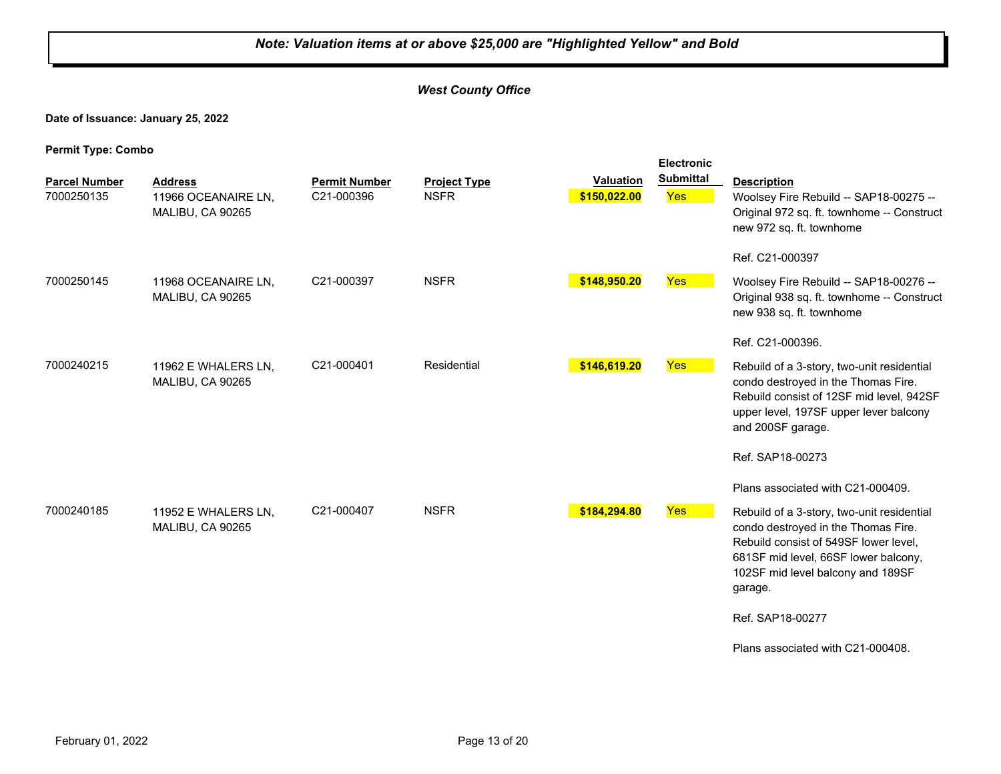#### *West County Office*

**Date of Issuance: January 25, 2022**

|                                    |                                                           |                                    |                                    |                                  | <b>Electronic</b>       |                                                                                                                                                                                                                    |
|------------------------------------|-----------------------------------------------------------|------------------------------------|------------------------------------|----------------------------------|-------------------------|--------------------------------------------------------------------------------------------------------------------------------------------------------------------------------------------------------------------|
| <b>Parcel Number</b><br>7000250135 | <b>Address</b><br>11966 OCEANAIRE LN,<br>MALIBU, CA 90265 | <b>Permit Number</b><br>C21-000396 | <b>Project Type</b><br><b>NSFR</b> | <b>Valuation</b><br>\$150,022.00 | <b>Submittal</b><br>Yes | <b>Description</b><br>Woolsey Fire Rebuild -- SAP18-00275 --<br>Original 972 sq. ft. townhome -- Construct<br>new 972 sq. ft. townhome                                                                             |
| 7000250145                         | 11968 OCEANAIRE LN,<br>MALIBU, CA 90265                   | C21-000397                         | <b>NSFR</b>                        | \$148,950.20                     | Yes                     | Ref. C21-000397<br>Woolsey Fire Rebuild -- SAP18-00276 --<br>Original 938 sq. ft. townhome -- Construct                                                                                                            |
|                                    |                                                           |                                    |                                    |                                  |                         | new 938 sq. ft. townhome<br>Ref. C21-000396.                                                                                                                                                                       |
| 7000240215                         | 11962 E WHALERS LN,<br>MALIBU, CA 90265                   | C21-000401                         | Residential                        | \$146,619.20                     | Yes                     | Rebuild of a 3-story, two-unit residential<br>condo destroyed in the Thomas Fire.<br>Rebuild consist of 12SF mid level, 942SF<br>upper level, 197SF upper lever balcony<br>and 200SF garage.                       |
|                                    |                                                           |                                    |                                    |                                  |                         | Ref. SAP18-00273<br>Plans associated with C21-000409.                                                                                                                                                              |
| 7000240185                         | 11952 E WHALERS LN,<br>MALIBU, CA 90265                   | C21-000407                         | <b>NSFR</b>                        | \$184,294.80                     | Yes                     | Rebuild of a 3-story, two-unit residential<br>condo destroyed in the Thomas Fire.<br>Rebuild consist of 549SF lower level,<br>681SF mid level, 66SF lower balcony,<br>102SF mid level balcony and 189SF<br>garage. |
|                                    |                                                           |                                    |                                    |                                  |                         | Ref. SAP18-00277                                                                                                                                                                                                   |
|                                    |                                                           |                                    |                                    |                                  |                         | Plans associated with C21-000408.                                                                                                                                                                                  |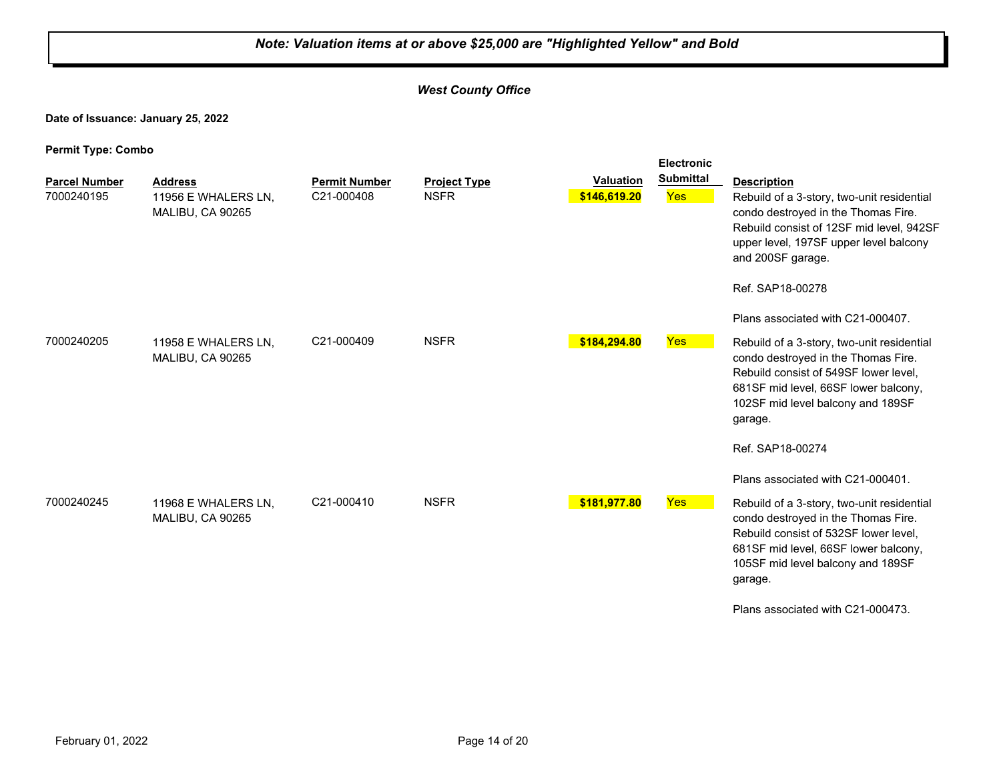#### *West County Office*

**Date of Issuance: January 25, 2022**

| r ernin rype. Oomoo                |                                                           | <b>Electronic</b>                  |                                    |                           |                         |                                                                                                                                                                                                                                                                                              |
|------------------------------------|-----------------------------------------------------------|------------------------------------|------------------------------------|---------------------------|-------------------------|----------------------------------------------------------------------------------------------------------------------------------------------------------------------------------------------------------------------------------------------------------------------------------------------|
| <b>Parcel Number</b><br>7000240195 | <b>Address</b><br>11956 E WHALERS LN,<br>MALIBU, CA 90265 | <b>Permit Number</b><br>C21-000408 | <b>Project Type</b><br><b>NSFR</b> | Valuation<br>\$146,619.20 | <b>Submittal</b><br>Yes | <b>Description</b><br>Rebuild of a 3-story, two-unit residential<br>condo destroyed in the Thomas Fire.<br>Rebuild consist of 12SF mid level, 942SF<br>upper level, 197SF upper level balcony<br>and 200SF garage.<br>Ref. SAP18-00278                                                       |
| 7000240205                         | 11958 E WHALERS LN,<br>MALIBU, CA 90265                   | C21-000409                         | <b>NSFR</b>                        | \$184,294.80              | <b>Yes</b>              | Plans associated with C21-000407.<br>Rebuild of a 3-story, two-unit residential<br>condo destroyed in the Thomas Fire.<br>Rebuild consist of 549SF lower level,<br>681SF mid level, 66SF lower balcony,<br>102SF mid level balcony and 189SF<br>garage.<br>Ref. SAP18-00274                  |
| 7000240245                         | 11968 E WHALERS LN.<br>MALIBU, CA 90265                   | C21-000410                         | <b>NSFR</b>                        | \$181,977.80              | Yes                     | Plans associated with C21-000401.<br>Rebuild of a 3-story, two-unit residential<br>condo destroyed in the Thomas Fire.<br>Rebuild consist of 532SF lower level,<br>681SF mid level, 66SF lower balcony,<br>105SF mid level balcony and 189SF<br>garage.<br>Plans associated with C21-000473. |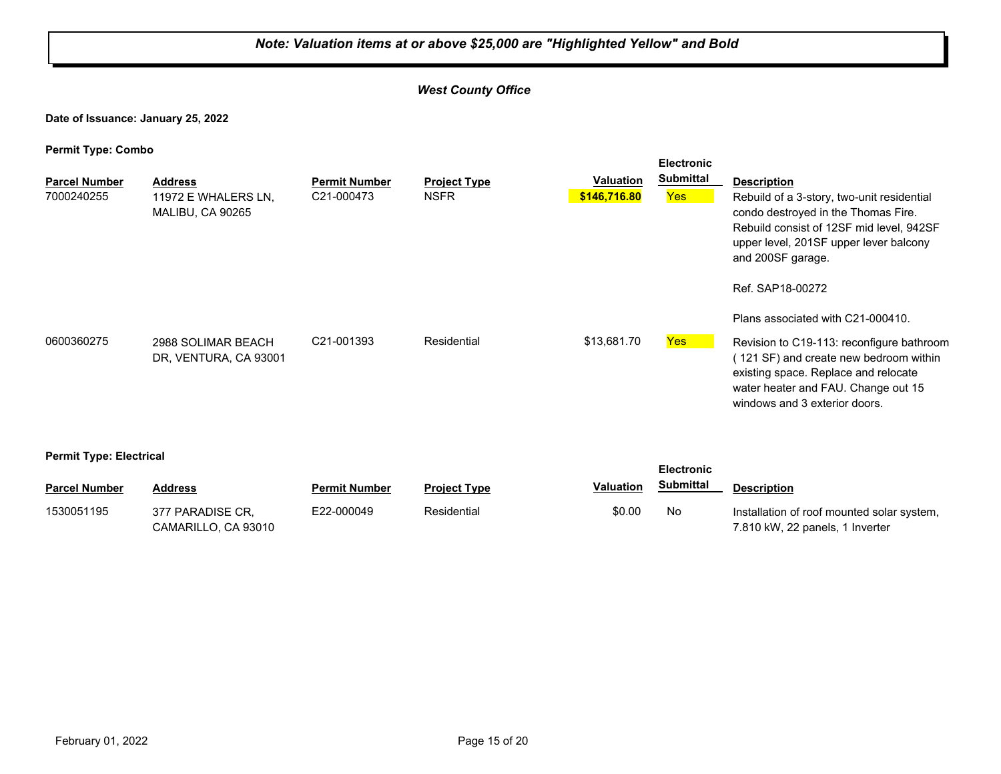#### *West County Office*

**Date of Issuance: January 25, 2022**

| . .<br><b>Parcel Number</b><br>7000240255 | <b>Address</b><br>11972 E WHALERS LN,<br>MALIBU, CA 90265 | <b>Permit Number</b><br>C21-000473 | <b>Project Type</b><br><b>NSFR</b> | <b>Valuation</b><br>\$146,716.80 | <b>Electronic</b><br><b>Submittal</b><br>Yes | <b>Description</b><br>Rebuild of a 3-story, two-unit residential<br>condo destroyed in the Thomas Fire.<br>Rebuild consist of 12SF mid level, 942SF<br>upper level, 201SF upper lever balcony<br>and 200SF garage.<br>Ref. SAP18-00272<br>Plans associated with C21-000410. |
|-------------------------------------------|-----------------------------------------------------------|------------------------------------|------------------------------------|----------------------------------|----------------------------------------------|-----------------------------------------------------------------------------------------------------------------------------------------------------------------------------------------------------------------------------------------------------------------------------|
| 0600360275                                | 2988 SOLIMAR BEACH<br>DR, VENTURA, CA 93001               | C21-001393                         | Residential                        | \$13,681.70                      | <b>Yes</b>                                   | Revision to C19-113: reconfigure bathroom<br>(121 SF) and create new bedroom within<br>existing space. Replace and relocate<br>water heater and FAU. Change out 15<br>windows and 3 exterior doors.                                                                         |
| <b>Permit Type: Electrical</b>            |                                                           |                                    |                                    |                                  |                                              |                                                                                                                                                                                                                                                                             |

| <b>Parcel Number</b> | Address                                 | Permit Number | <b>Project Type</b> | <b>Valuation</b> | <u>Submittal</u> | <b>Description</b>                                                            |
|----------------------|-----------------------------------------|---------------|---------------------|------------------|------------------|-------------------------------------------------------------------------------|
| 1530051195           | 377 PARADISE CR.<br>CAMARILLO, CA 93010 | E22-000049    | Residential         | \$0.00           | No               | Installation of roof mounted solar system,<br>7.810 kW, 22 panels, 1 Inverter |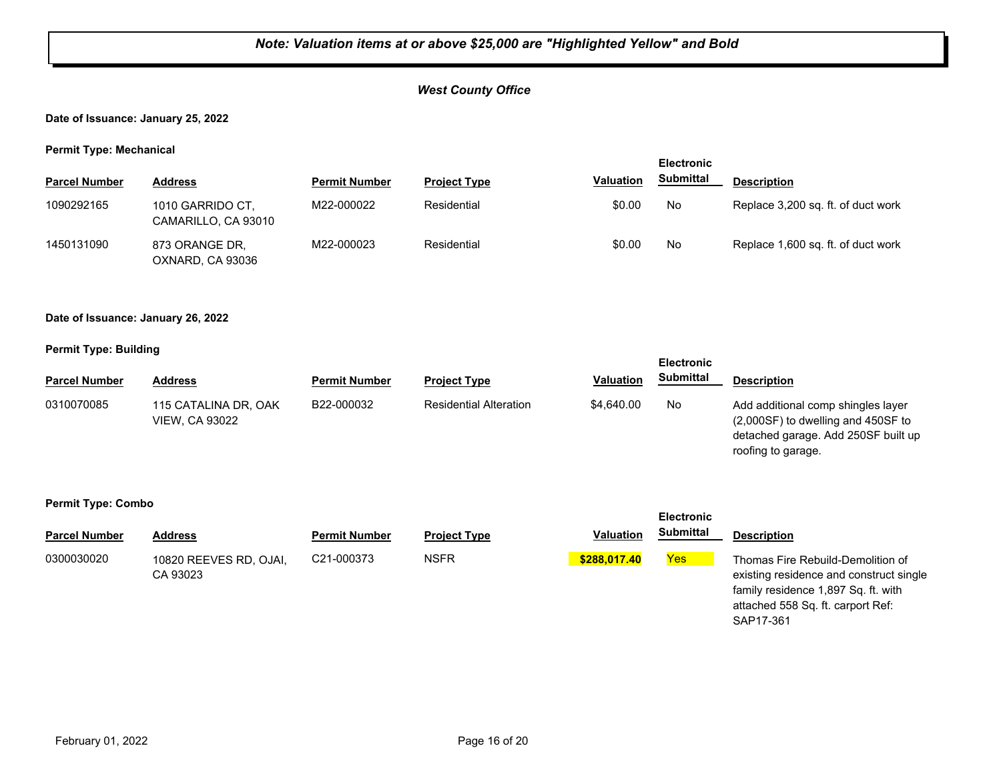## *West County Office*

#### **Date of Issuance: January 25, 2022**

#### **Permit Type: Mechanical**

| . .                  |                                         |                      |                     |                  | <b>Electronic</b> |                                    |
|----------------------|-----------------------------------------|----------------------|---------------------|------------------|-------------------|------------------------------------|
| <b>Parcel Number</b> | <b>Address</b>                          | <b>Permit Number</b> | <b>Project Type</b> | <b>Valuation</b> | <b>Submittal</b>  | <b>Description</b>                 |
| 1090292165           | 1010 GARRIDO CT,<br>CAMARILLO, CA 93010 | M22-000022           | Residential         | \$0.00           | No                | Replace 3,200 sq. ft. of duct work |
| 1450131090           | 873 ORANGE DR.<br>OXNARD, CA 93036      | M22-000023           | Residential         | \$0.00           | No                | Replace 1,600 sq. ft. of duct work |

#### **Date of Issuance: January 26, 2022**

#### **Permit Type: Building**

|                      |                                               |                      |                               |                  | <b>Electronic</b> |                                                                                                                   |
|----------------------|-----------------------------------------------|----------------------|-------------------------------|------------------|-------------------|-------------------------------------------------------------------------------------------------------------------|
| <b>Parcel Number</b> | Address                                       | <b>Permit Number</b> | <b>Project Type</b>           | <b>Valuation</b> | <b>Submittal</b>  | <b>Description</b>                                                                                                |
| 0310070085           | 115 CATALINA DR, OAK<br><b>VIEW. CA 93022</b> | B22-000032           | <b>Residential Alteration</b> | \$4,640.00       | No.               | Add additional comp shingles layer<br>$(2,000SF)$ to dwelling and 450SF to<br>detached garage. Add 250SF built up |

roofing to garage.

|                      |                                    |                      |                     |                  | <b>Electronic</b> |                                                                                                                                                                       |
|----------------------|------------------------------------|----------------------|---------------------|------------------|-------------------|-----------------------------------------------------------------------------------------------------------------------------------------------------------------------|
| <b>Parcel Number</b> | <b>Address</b>                     | <b>Permit Number</b> | <b>Project Type</b> | <b>Valuation</b> | <b>Submittal</b>  | <b>Description</b>                                                                                                                                                    |
| 0300030020           | 10820 REEVES RD, OJAI,<br>CA 93023 | C21-000373           | <b>NSFR</b>         | \$288,017,40     | <b>Yes</b>        | Thomas Fire Rebuild-Demolition of<br>existing residence and construct single<br>family residence 1,897 Sq. ft. with<br>attached 558 Sq. ft. carport Ref:<br>SAP17-361 |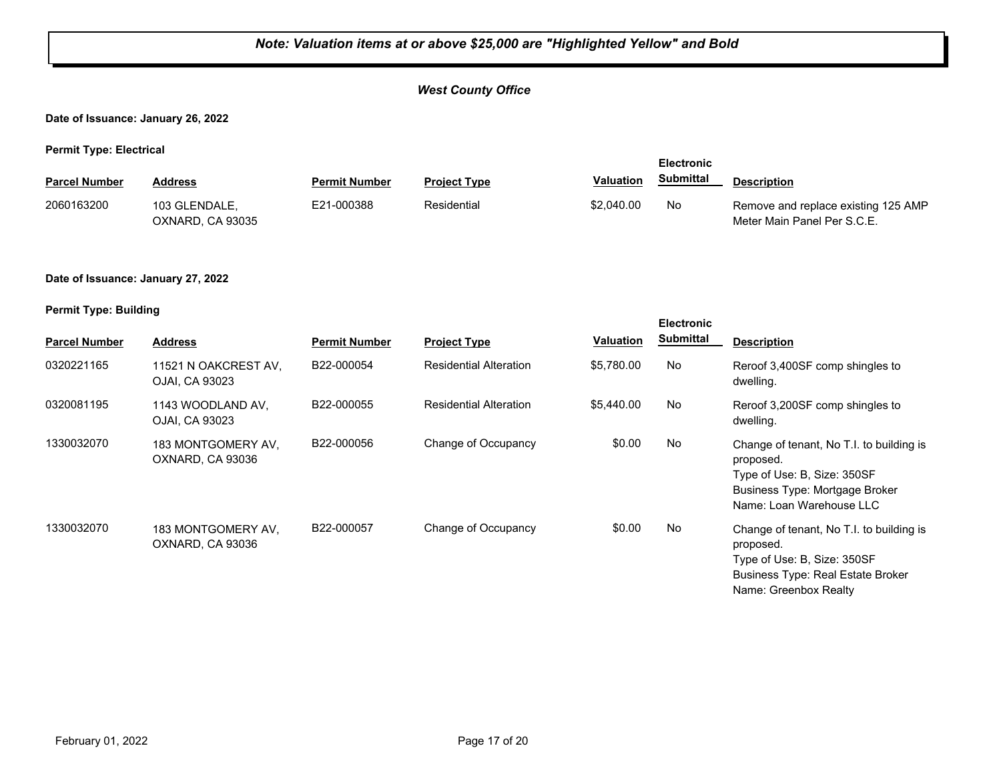#### *West County Office*

**Date of Issuance: January 26, 2022**

**Permit Type: Electrical**

|                      |                                   |                      |                     |                  | <b>Electronic</b> |                                                                    |
|----------------------|-----------------------------------|----------------------|---------------------|------------------|-------------------|--------------------------------------------------------------------|
| <b>Parcel Number</b> | Address                           | <b>Permit Number</b> | <b>Project Type</b> | <b>Valuation</b> | <b>Submittal</b>  | <b>Description</b>                                                 |
| 2060163200           | 103 GLENDALE.<br>OXNARD, CA 93035 | E21-000388           | Residential         | \$2,040.00       | No                | Remove and replace existing 125 AMP<br>Meter Main Panel Per S.C.E. |

#### **Date of Issuance: January 27, 2022**

| <b>Parcel Number</b> | <b>Address</b>                         | <b>Permit Number</b> | <b>Project Type</b>           | Valuation  | <b>Electronic</b><br><b>Submittal</b> | <b>Description</b>                                                                                                                                        |
|----------------------|----------------------------------------|----------------------|-------------------------------|------------|---------------------------------------|-----------------------------------------------------------------------------------------------------------------------------------------------------------|
| 0320221165           | 11521 N OAKCREST AV,<br>OJAI, CA 93023 | B22-000054           | <b>Residential Alteration</b> | \$5,780.00 | No                                    | Reroof 3,400SF comp shingles to<br>dwelling.                                                                                                              |
| 0320081195           | 1143 WOODLAND AV,<br>OJAI, CA 93023    | B22-000055           | <b>Residential Alteration</b> | \$5,440.00 | No                                    | Reroof 3,200SF comp shingles to<br>dwelling.                                                                                                              |
| 1330032070           | 183 MONTGOMERY AV,<br>OXNARD, CA 93036 | B22-000056           | Change of Occupancy           | \$0.00     | No                                    | Change of tenant, No T.I. to building is<br>proposed.<br>Type of Use: B, Size: 350SF<br><b>Business Type: Mortgage Broker</b><br>Name: Loan Warehouse LLC |
| 1330032070           | 183 MONTGOMERY AV,<br>OXNARD, CA 93036 | B22-000057           | Change of Occupancy           | \$0.00     | No                                    | Change of tenant, No T.I. to building is<br>proposed.<br>Type of Use: B, Size: 350SF<br><b>Business Type: Real Estate Broker</b><br>Name: Greenbox Realty |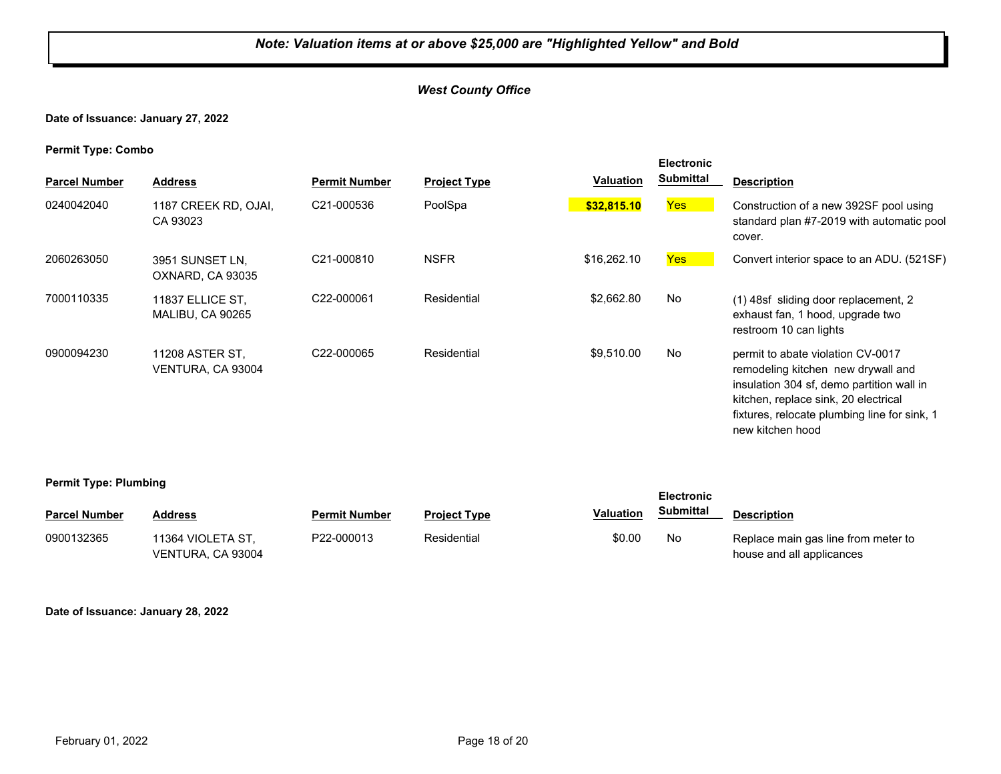#### *West County Office*

**Date of Issuance: January 27, 2022**

**Permit Type: Combo**

| <b>Parcel Number</b> | <b>Address</b>                       | <b>Permit Number</b>    | <b>Project Type</b> | Valuation   | <b>Electronic</b><br><b>Submittal</b> | <b>Description</b>                                                                                                                                                                                                               |
|----------------------|--------------------------------------|-------------------------|---------------------|-------------|---------------------------------------|----------------------------------------------------------------------------------------------------------------------------------------------------------------------------------------------------------------------------------|
| 0240042040           | 1187 CREEK RD, OJAI,<br>CA 93023     | C21-000536              | PoolSpa             | \$32,815.10 | Yes                                   | Construction of a new 392SF pool using<br>standard plan #7-2019 with automatic pool<br>cover.                                                                                                                                    |
| 2060263050           | 3951 SUNSET LN,<br>OXNARD, CA 93035  | C21-000810              | <b>NSFR</b>         | \$16,262.10 | Yes                                   | Convert interior space to an ADU. (521SF)                                                                                                                                                                                        |
| 7000110335           | 11837 ELLICE ST.<br>MALIBU, CA 90265 | C22-000061              | Residential         | \$2,662.80  | <b>No</b>                             | (1) 48sf sliding door replacement, 2<br>exhaust fan, 1 hood, upgrade two<br>restroom 10 can lights                                                                                                                               |
| 0900094230           | 11208 ASTER ST,<br>VENTURA, CA 93004 | C <sub>22</sub> -000065 | Residential         | \$9,510.00  | No                                    | permit to abate violation CV-0017<br>remodeling kitchen new drywall and<br>insulation 304 sf, demo partition wall in<br>kitchen, replace sink, 20 electrical<br>fixtures, relocate plumbing line for sink, 1<br>new kitchen hood |

#### **Permit Type: Plumbing**

|                      |                                        |                      |                     |                  | <b>Electronic</b> |                                                                  |
|----------------------|----------------------------------------|----------------------|---------------------|------------------|-------------------|------------------------------------------------------------------|
| <b>Parcel Number</b> | <b>Address</b>                         | <b>Permit Number</b> | <b>Project Type</b> | <b>Valuation</b> | Submittal         | <b>Description</b>                                               |
| 0900132365           | 11364 VIOLETA ST.<br>VENTURA, CA 93004 | P22-000013           | Residential         | \$0.00           | No                | Replace main gas line from meter to<br>house and all applicances |

**Date of Issuance: January 28, 2022**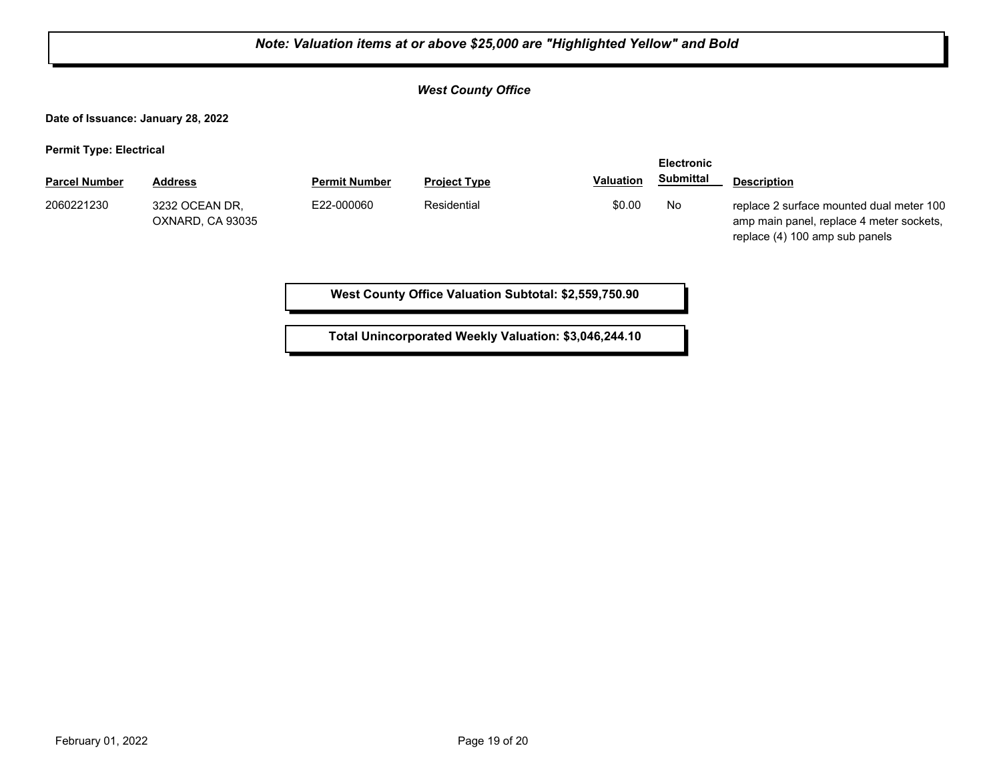|                                                        | Note: Valuation items at or above \$25,000 are "Highlighted Yellow" and Bold |                      |                                                       |                  |                                       |                                                                                                                        |  |  |  |
|--------------------------------------------------------|------------------------------------------------------------------------------|----------------------|-------------------------------------------------------|------------------|---------------------------------------|------------------------------------------------------------------------------------------------------------------------|--|--|--|
|                                                        |                                                                              |                      | <b>West County Office</b>                             |                  |                                       |                                                                                                                        |  |  |  |
|                                                        | Date of Issuance: January 28, 2022                                           |                      |                                                       |                  |                                       |                                                                                                                        |  |  |  |
| <b>Permit Type: Electrical</b><br><b>Parcel Number</b> | <b>Address</b>                                                               | <b>Permit Number</b> | <b>Project Type</b>                                   | <b>Valuation</b> | <b>Electronic</b><br><b>Submittal</b> | <b>Description</b>                                                                                                     |  |  |  |
| 2060221230                                             | 3232 OCEAN DR.<br>OXNARD, CA 93035                                           | E22-000060           | Residential                                           | \$0.00           | No                                    | replace 2 surface mounted dual meter 100<br>amp main panel, replace 4 meter sockets,<br>replace (4) 100 amp sub panels |  |  |  |
|                                                        |                                                                              |                      | West County Office Valuation Subtotal: \$2,559,750.90 |                  |                                       |                                                                                                                        |  |  |  |

Ъ

**Total Unincorporated Weekly Valuation: \$3,046,244.10**

Е